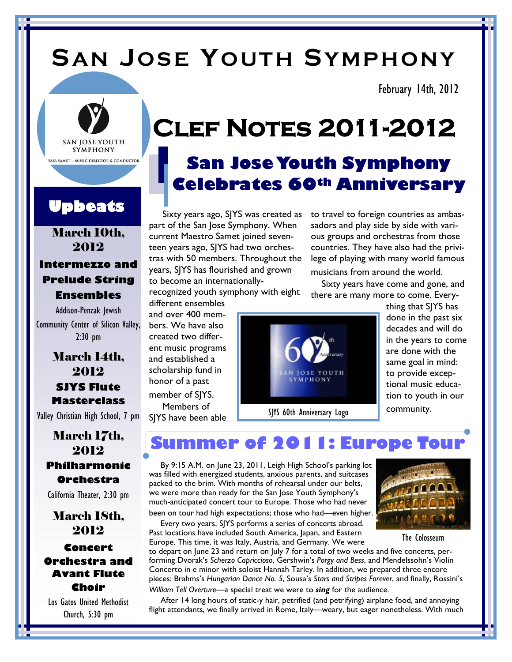# **SA N JO S E YO UT H SY MP H O NY**

February 14th, 2012



### **Upbeats**

### March 10th, 2012 **Intermezzo and Prelude String Ensembles**

Addison-Penzak Jewish Community Center of Silicon Valley, 2:30 pm

> March 14th, 2012 **SJYS Flute Masterclass**

Valley Christian High School, 7 pm

### March 17th, 2012 **Philharmonic Orchestra**

California Theater, 2:30 pm

March 18th, 2012 **Concert Orchestra and Avant Flute Choir**

Los Gatos United Methodist Church, 5:30 pm

# **Clef Notes 2011-2012**

## **San JoseYouth Symphony Celebrates 60th Anniversary**

Sixty years ago, SJYS was created as part of the San Jose Symphony. When current Maestro Samet joined seventeen years ago, SJYS had two orchestras with 50 members. Throughout the years, SJYS has flourished and grown to become an internationally-

recognized youth symphony with eight

different ensembles and over 400 members. We have also created two different music programs and established a scholarship fund in honor of a past member of SJYS. Members of

SJYS have been able

to travel to foreign countries as ambassadors and play side by side with various groups and orchestras from those countries. They have also had the privilege of playing with many world famous

musicians from around the world. Sixty years have come and gone, and

there are many more to come. Every-



SJYS 60th Anniversary Logo

thing that SJYS has done in the past six decades and will do in the years to come are done with the same goal in mind: to provide exceptional music education to youth in our community.

**Summer of 2011: Europe Tour**

By 9:15 A.M. on June 23, 2011, Leigh High School's parking lot was filled with energized students, anxious parents, and suitcases packed to the brim. With months of rehearsal under our belts, we were more than ready for the San Jose Youth Symphony's much-anticipated concert tour to Europe. Those who had never been on tour had high expectations; those who had—even higher.

Every two years, SJYS performs a series of concerts abroad. Past locations have included South America, Japan, and Eastern Europe. This time, it was Italy, Austria, and Germany. We were



After 14 long hours of static-y hair, petrified (and petrifying) airplane food, and annoying flight attendants, we finally arrived in Rome, Italy—weary, but eager nonetheless. With much



The Colosseum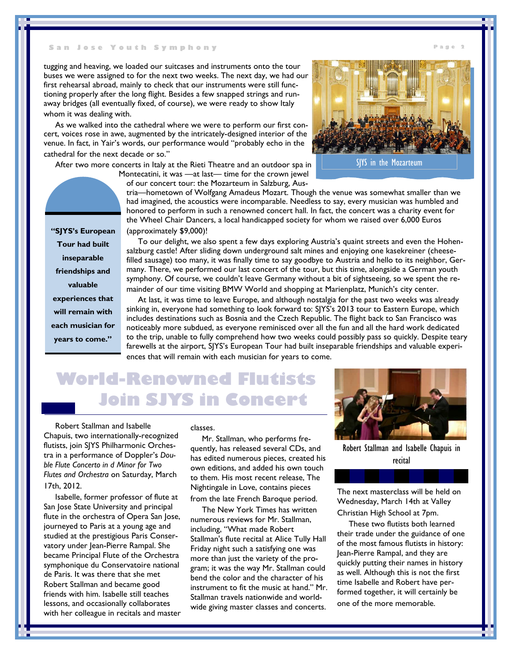### **S a n J o s e Y o u t h S y m p h o n y**

tugging and heaving, we loaded our suitcases and instruments onto the tour buses we were assigned to for the next two weeks. The next day, we had our first rehearsal abroad, mainly to check that our instruments were still functioning properly after the long flight. Besides a few snapped strings and runaway bridges (all eventually fixed, of course), we were ready to show Italy whom it was dealing with.

As we walked into the cathedral where we were to perform our first concert, voices rose in awe, augmented by the intricately-designed interior of the venue. In fact, in Yair's words, our performance would "probably echo in the cathedral for the next decade or so."

After two more concerts in Italy at the Rieti Theatre and an outdoor spa in

Montecatini, it was —at last— time for the crown jewel of our concert tour: the Mozarteum in Salzburg, Aus-



**P a g e 2**

SJYS in the Mozarteum

tria—hometown of Wolfgang Amadeus Mozart. Though the venue was somewhat smaller than we had imagined, the acoustics were incomparable. Needless to say, every musician was humbled and honored to perform in such a renowned concert hall. In fact, the concert was a charity event for the Wheel Chair Dancers, a local handicapped society for whom we raised over 6,000 Euros (approximately \$9,000)!

To our delight, we also spent a few days exploring Austria's quaint streets and even the Hohensalzburg castle! After sliding down underground salt mines and enjoying one kasekreiner (cheesefilled sausage) too many, it was finally time to say goodbye to Austria and hello to its neighbor, Germany. There, we performed our last concert of the tour, but this time, alongside a German youth symphony. Of course, we couldn't leave Germany without a bit of sightseeing, so we spent the remainder of our time visiting BMW World and shopping at Marienplatz, Munich's city center.

At last, it was time to leave Europe, and although nostalgia for the past two weeks was already sinking in, everyone had something to look forward to: SJYS's 2013 tour to Eastern Europe, which includes destinations such as Bosnia and the Czech Republic. The flight back to San Francisco was noticeably more subdued, as everyone reminisced over all the fun and all the hard work dedicated to the trip, unable to fully comprehend how two weeks could possibly pass so quickly. Despite teary farewells at the airport, SJYS's European Tour had built inseparable friendships and valuable experiences that will remain with each musician for years to come.

## **World-Renowned Flutists Join SJYS in Concert**

Robert Stallman and Isabelle Chapuis, two internationally-recognized flutists, join SJYS Philharmonic Orchestra in a performance of Doppler's *Double Flute Concerto in d Minor for Two Flutes and Orchestra* on Saturday, March 17th, 2012.

Isabelle, former professor of flute at San Jose State University and principal flute in the orchestra of Opera San Jose, journeyed to Paris at a young age and studied at the prestigious Paris Conservatory under Jean-Pierre Rampal. She became Principal Flute of the Orchestra symphonique du Conservatoire national de Paris. It was there that she met Robert Stallman and became good friends with him. Isabelle still teaches lessons, and occasionally collaborates with her colleague in recitals and master

classes.

Mr. Stallman, who performs frequently, has released several CDs, and has edited numerous pieces, created his own editions, and added his own touch to them. His most recent release, The Nightingale in Love, contains pieces from the late French Baroque period.

The New York Times has written numerous reviews for Mr. Stallman, including, "What made Robert Stallman's flute recital at Alice Tully Hall Friday night such a satisfying one was more than just the variety of the program; it was the way Mr. Stallman could bend the color and the character of his instrument to fit the music at hand." Mr. Stallman travels nationwide and worldwide giving master classes and concerts.



Robert Stallman and Isabelle Chapuis in recital

The next masterclass will be held on Wednesday, March 14th at Valley Christian High School at 7pm.

These two flutists both learned their trade under the guidance of one of the most famous flutists in history: Jean-Pierre Rampal, and they are quickly putting their names in history as well. Although this is not the first time Isabelle and Robert have performed together, it will certainly be one of the more memorable.

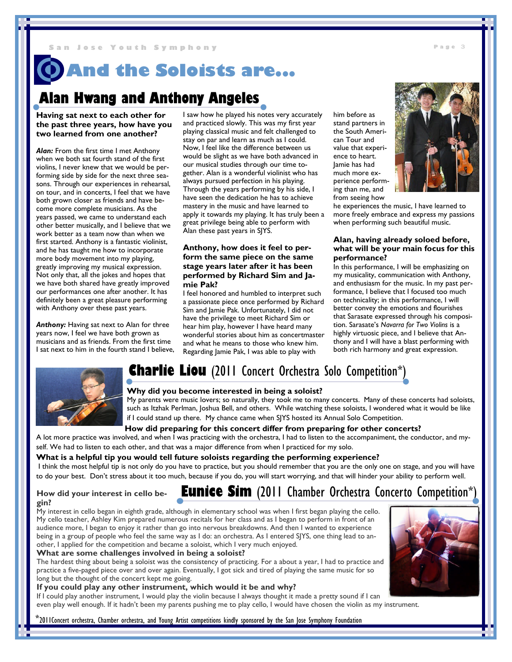## **And the Soloists are...**

### **Alan Hwang and Anthony Angeles**

**Having sat next to each other for the past three years, how have you two learned from one another?**

*Alan:* From the first time I met Anthony when we both sat fourth stand of the first violins, I never knew that we would be performing side by side for the next three seasons. Through our experiences in rehearsal, on tour, and in concerts, I feel that we have both grown closer as friends and have become more complete musicians. As the years passed, we came to understand each other better musically, and I believe that we work better as a team now than when we first started. Anthony is a fantastic violinist, and he has taught me how to incorporate more body movement into my playing, greatly improving my musical expression. Not only that, all the jokes and hopes that we have both shared have greatly improved our performances one after another. It has definitely been a great pleasure performing with Anthony over these past years.

*Anthony:* Having sat next to Alan for three years now, I feel we have both grown as musicians and as friends. From the first time I sat next to him in the fourth stand I believe, I saw how he played his notes very accurately and practiced slowly. This was my first year playing classical music and felt challenged to stay on par and learn as much as I could. Now, I feel like the difference between us would be slight as we have both advanced in our musical studies through our time together. Alan is a wonderful violinist who has always pursued perfection in his playing. Through the years performing by his side, I have seen the dedication he has to achieve mastery in the music and have learned to apply it towards my playing. It has truly been a great privilege being able to perform with Alan these past years in SJYS.

### **Anthony, how does it feel to perform the same piece on the same stage years later after it has been performed by Richard Sim and Jamie Pak?**

I feel honored and humbled to interpret such a passionate piece once performed by Richard Sim and Jamie Pak. Unfortunately, I did not have the privilege to meet Richard Sim or hear him play, however I have heard many wonderful stories about him as concertmaster and what he means to those who knew him. Regarding Jamie Pak, I was able to play with

him before as stand partners in the South American Tour and value that experience to heart. Jamie has had much more experience performing than me, and from seeing how

he experiences the music, I have learned to more freely embrace and express my passions when performing such beautiful music.

#### **Alan, having already soloed before, what will be your main focus for this performance?**

In this performance, I will be emphasizing on my musicality, communication with Anthony, and enthusiasm for the music. In my past performance, I believe that I focused too much on technicality; in this performance, I will better convey the emotions and flourishes that Sarasate expressed through his composition. Sarasate's *Navarra for Two Violins* is a highly virtuosic piece, and I believe that Anthony and I will have a blast performing with both rich harmony and great expression.



### **Charlie Liou** (2011 Concert Orchestra Solo Competition\*)



My parents were music lovers; so naturally, they took me to many concerts. Many of these concerts had soloists, such as Itzhak Perlman, Joshua Bell, and others. While watching these soloists, I wondered what it would be like if I could stand up there. My chance came when SJYS hosted its Annual Solo Competition.

#### **How did preparing for this concert differ from preparing for other concerts?**

A lot more practice was involved, and when I was practicing with the orchestra, I had to listen to the accompaniment, the conductor, and myself. We had to listen to each other, and that was a major difference from when I practiced for my solo.

#### **What is a helpful tip you would tell future soloists regarding the performing experience?**

I think the most helpful tip is not only do you have to practice, but you should remember that you are the only one on stage, and you will have to do your best. Don't stress about it too much, because if you do, you will start worrying, and that will hinder your ability to perform well.

### **How did your interest in cello begin?**

### **Eunice Sim** (2011 Chamber Orchestra Concerto Competition\*

My interest in cello began in eighth grade, although in elementary school was when I first began playing the cello. My cello teacher, Ashley Kim prepared numerous recitals for her class and as I began to perform in front of an audience more, I began to enjoy it rather than go into nervous breakdowns. And then I wanted to experience being in a group of people who feel the same way as I do: an orchestra. As I entered SJYS, one thing lead to another, I applied for the competition and became a soloist, which I very much enjoyed.

#### **What are some challenges involved in being a soloist?**

The hardest thing about being a soloist was the consistency of practicing. For a about a year, I had to practice and practice a five-paged piece over and over again. Eventually, I got sick and tired of playing the same music for so long but the thought of the concert kept me going.

#### **If you could play any other instrument, which would it be and why?**

If I could play another instrument, I would play the violin because I always thought it made a pretty sound if I can even play well enough. If it hadn't been my parents pushing me to play cello, I would have chosen the violin as my instrument.

\*2011Concert orchestra, Chamber orchestra, and Young Artist competitions kindly sponsored by the San Jose Symphony Foundation



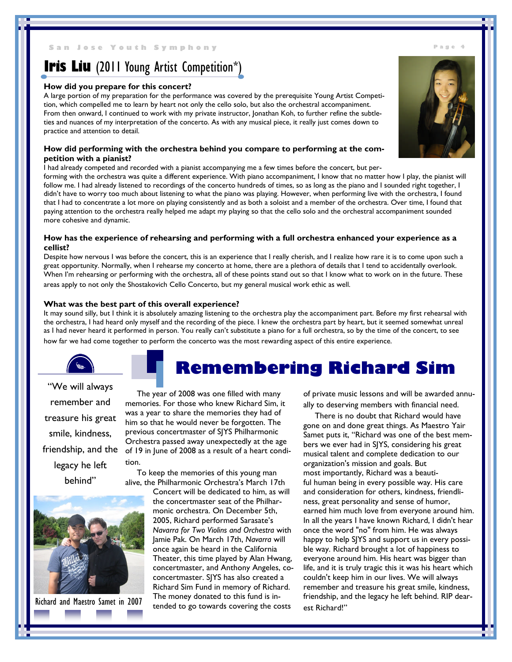#### **N Jose Youth Symphony Biography Page**

### **Iris Liu** (2011 Young Artist Competition\*)

#### **How did you prepare for this concert?**

A large portion of my preparation for the performance was covered by the prerequisite Young Artist Competition, which compelled me to learn by heart not only the cello solo, but also the orchestral accompaniment. From then onward, I continued to work with my private instructor, Jonathan Koh, to further refine the subtleties and nuances of my interpretation of the concerto. As with any musical piece, it really just comes down to practice and attention to detail.

#### **How did performing with the orchestra behind you compare to performing at the competition with a pianist?**

I had already competed and recorded with a pianist accompanying me a few times before the concert, but per-

forming with the orchestra was quite a different experience. With piano accompaniment, I know that no matter how I play, the pianist will follow me. I had already listened to recordings of the concerto hundreds of times, so as long as the piano and I sounded right together, I didn't have to worry too much about listening to what the piano was playing. However, when performing live with the orchestra, I found that I had to concentrate a lot more on playing consistently and as both a soloist and a member of the orchestra. Over time, I found that paying attention to the orchestra really helped me adapt my playing so that the cello solo and the orchestral accompaniment sounded more cohesive and dynamic.

#### **How has the experience of rehearsing and performing with a full orchestra enhanced your experience as a cellist?**

Despite how nervous I was before the concert, this is an experience that I really cherish, and I realize how rare it is to come upon such a great opportunity. Normally, when I rehearse my concerto at home, there are a plethora of details that I tend to accidentally overlook. When I'm rehearsing or performing with the orchestra, all of these points stand out so that I know what to work on in the future. These areas apply to not only the Shostakovich Cello Concerto, but my general musical work ethic as well.

#### **What was the best part of this overall experience?**

It may sound silly, but I think it is absolutely amazing listening to the orchestra play the accompaniment part. Before my first rehearsal with the orchestra, I had heard only myself and the recording of the piece. I knew the orchestra part by heart, but it seemed somewhat unreal as I had never heard it performed in person. You really can't substitute a piano for a full orchestra, so by the time of the concert, to see how far we had come together to perform the concerto was the most rewarding aspect of this entire experience.

"We will always remember and treasure his great smile, kindness, friendship, and the legacy he left behind"



Richard and Maestro Samet in 2007

### **Remembering Richard Sim**

The year of 2008 was one filled with many memories. For those who knew Richard Sim, it was a year to share the memories they had of him so that he would never be forgotten. The previous concertmaster of SJYS Philharmonic Orchestra passed away unexpectedly at the age of 19 in June of 2008 as a result of a heart condition.

To keep the memories of this young man alive, the Philharmonic Orchestra's March 17th

Concert will be dedicated to him, as will the concertmaster seat of the Philharmonic orchestra. On December 5th, 2005, Richard performed Sarasate's *Navarra for Two Violins and Orchestra* with Jamie Pak. On March 17th, *Navarra* will once again be heard in the California Theater, this time played by Alan Hwang, concertmaster, and Anthony Angeles, coconcertmaster. SJYS has also created a Richard Sim Fund in memory of Richard. The money donated to this fund is intended to go towards covering the costs

of private music lessons and will be awarded annually to deserving members with financial need.

There is no doubt that Richard would have gone on and done great things. As Maestro Yair Samet puts it, "Richard was one of the best members we ever had in SJYS, considering his great musical talent and complete dedication to our organization's mission and goals. But most importantly, Richard was a beautiful human being in every possible way. His care and consideration for others, kindness, friendliness, great personality and sense of humor, earned him much love from everyone around him. In all the years I have known Richard, I didn't hear once the word "no" from him. He was always happy to help SJYS and support us in every possible way. Richard brought a lot of happiness to everyone around him. His heart was bigger than life, and it is truly tragic this it was his heart which couldn't keep him in our lives. We will always remember and treasure his great smile, kindness, friendship, and the legacy he left behind. RIP dearest Richard!"

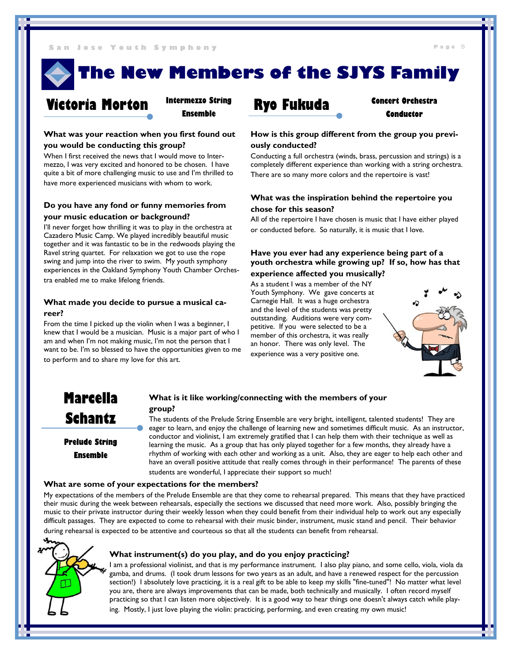**The New Members of the SJYS Family**



**Intermezzo String Ensemble**

### **What was your reaction when you first found out you would be conducting this group?**

When I first received the news that I would move to Intermezzo, I was very excited and honored to be chosen. I have quite a bit of more challenging music to use and I'm thrilled to have more experienced musicians with whom to work.

### **Do you have any fond or funny memories from your music education or background?**

I'll never forget how thrilling it was to play in the orchestra at Cazadero Music Camp. We played incredibly beautiful music together and it was fantastic to be in the redwoods playing the Ravel string quartet. For relaxation we got to use the rope swing and jump into the river to swim. My youth symphony experiences in the Oakland Symphony Youth Chamber Orchestra enabled me to make lifelong friends.

### **What made you decide to pursue a musical career?**

From the time I picked up the violin when I was a beginner, I knew that I would be a musician. Music is a major part of who I am and when I'm not making music, I'm not the person that I want to be. I'm so blessed to have the opportunities given to me to perform and to share my love for this art.

**Concert Orchestra Conductor**

### **How is this group different from the group you previously conducted?**

Conducting a full orchestra (winds, brass, percussion and strings) is a completely different experience than working with a string orchestra. There are so many more colors and the repertoire is vast!

### **What was the inspiration behind the repertoire you chose for this season?**

All of the repertoire I have chosen is music that I have either played or conducted before. So naturally, it is music that I love.

### **Have you ever had any experience being part of a youth orchestra while growing up? If so, how has that experience affected you musically?**

As a student I was a member of the NY Youth Symphony. We gave concerts at Carnegie Hall. It was a huge orchestra and the level of the students was pretty outstanding. Auditions were very competitive. If you were selected to be a member of this orchestra, it was really an honor. There was only level. The



experience was a very positive one.

### **Marcella Schantz**

**Prelude String Ensemble**

### **What is it like working/connecting with the members of your group?**

The students of the Prelude String Ensemble are very bright, intelligent, talented students! They are eager to learn, and enjoy the challenge of learning new and sometimes difficult music. As an instructor, conductor and violinist, I am extremely gratified that I can help them with their technique as well as learning the music. As a group that has only played together for a few months, they already have a rhythm of working with each other and working as a unit. Also, they are eager to help each other and have an overall positive attitude that really comes through in their performance! The parents of these students are wonderful, I appreciate their support so much!

### **What are some of your expectations for the members?**

My expectations of the members of the Prelude Ensemble are that they come to rehearsal prepared. This means that they have practiced their music during the week between rehearsals, especially the sections we discussed that need more work. Also, possibly bringing the music to their private instructor during their weekly lesson when they could benefit from their individual help to work out any especially difficult passages. They are expected to come to rehearsal with their music binder, instrument, music stand and pencil. Their behavior during rehearsal is expected to be attentive and courteous so that all the students can benefit from rehearsal.



### **What instrument(s) do you play, and do you enjoy practicing?**

I am a professional violinist, and that is my performance instrument. I also play piano, and some cello, viola, viola da gamba, and drums. (I took drum lessons for two years as an adult, and have a renewed respect for the percussion section!) I absolutely love practicing, it is a real gift to be able to keep my skills "fine-tuned"! No matter what level you are, there are always improvements that can be made, both technically and musically. I often record myself practicing so that I can listen more objectively. It is a good way to hear things one doesn't always catch while playing. Mostly, I just love playing the violin: practicing, performing, and even creating my own music!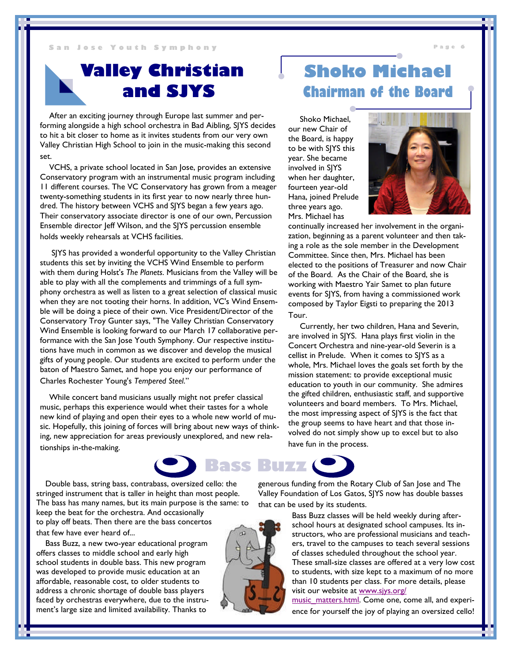### **Valley Christian and SJYS**

After an exciting journey through Europe last summer and performing alongside a high school orchestra in Bad Aibling, SJYS decides to hit a bit closer to home as it invites students from our very own Valley Christian High School to join in the music-making this second set.

VCHS, a private school located in San Jose, provides an extensive Conservatory program with an instrumental music program including 11 different courses. The VC Conservatory has grown from a meager twenty-something students in its first year to now nearly three hundred. The history between VCHS and SJYS began a few years ago. Their conservatory associate director is one of our own, Percussion Ensemble director Jeff Wilson, and the SJYS percussion ensemble holds weekly rehearsals at VCHS facilities.

SJYS has provided a wonderful opportunity to the Valley Christian students this set by inviting the VCHS Wind Ensemble to perform with them during Holst's *The Planets*. Musicians from the Valley will be able to play with all the complements and trimmings of a full symphony orchestra as well as listen to a great selection of classical music when they are not tooting their horns. In addition, VC's Wind Ensemble will be doing a piece of their own. Vice President/Director of the Conservatory Troy Gunter says, "The Valley Christian Conservatory Wind Ensemble is looking forward to our March 17 collaborative performance with the San Jose Youth Symphony. Our respective institutions have much in common as we discover and develop the musical gifts of young people. Our students are excited to perform under the baton of Maestro Samet, and hope you enjoy our performance of Charles Rochester Young's *Tempered Steel*."

While concert band musicians usually might not prefer classical music, perhaps this experience would whet their tastes for a whole new kind of playing and open their eyes to a whole new world of music. Hopefully, this joining of forces will bring about new ways of thinking, new appreciation for areas previously unexplored, and new relationships in-the-making.

Double bass, string bass, contrabass, oversized cello: the stringed instrument that is taller in height than most people. The bass has many names, but its main purpose is the same: to keep the beat for the orchestra. And occasionally to play off beats. Then there are the bass concertos that few have ever heard of...

Bass Buzz, a new two-year educational program offers classes to middle school and early high school students in double bass. This new program was developed to provide music education at an affordable, reasonable cost, to older students to address a chronic shortage of double bass players faced by orchestras everywhere, due to the instrument's large size and limited availability. Thanks to

### **Shoko Michael Chairman of the Board**

Shoko Michael, our new Chair of the Board, is happy to be with SJYS this year. She became involved in SJYS when her daughter, fourteen year-old Hana, joined Prelude three years ago. Mrs. Michael has



continually increased her involvement in the organization, beginning as a parent volunteer and then taking a role as the sole member in the Development Committee. Since then, Mrs. Michael has been elected to the positions of Treasurer and now Chair of the Board. As the Chair of the Board, she is working with Maestro Yair Samet to plan future events for SJYS, from having a commissioned work composed by Taylor Eigsti to preparing the 2013 Tour.

Currently, her two children, Hana and Severin, are involved in SJYS. Hana plays first violin in the Concert Orchestra and nine-year-old Severin is a cellist in Prelude. When it comes to SJYS as a whole, Mrs. Michael loves the goals set forth by the mission statement: to provide exceptional music education to youth in our community. She admires the gifted children, enthusiastic staff, and supportive volunteers and board members. To Mrs. Michael, the most impressing aspect of SJYS is the fact that the group seems to have heart and that those involved do not simply show up to excel but to also have fun in the process.



generous funding from the Rotary Club of San Jose and The Valley Foundation of Los Gatos, SJYS now has double basses that can be used by its students.

> Bass Buzz classes will be held weekly during afterschool hours at designated school campuses. Its instructors, who are professional musicians and teachers, travel to the campuses to teach several sessions of classes scheduled throughout the school year. These small-size classes are offered at a very low cost to students, with size kept to a maximum of no more than 10 students per class. For more details, please visit our website at www.sjys.org/

> music\_matters.html. Come one, come all, and experience for yourself the joy of playing an oversized cello!

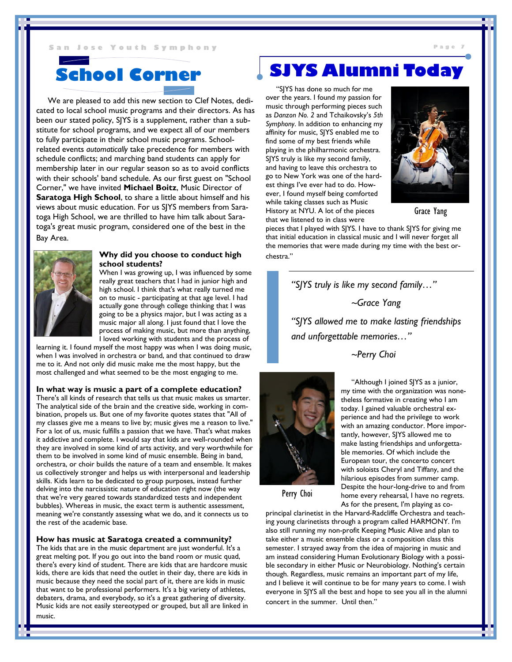We are pleased to add this new section to Clef Notes, dedicated to local school music programs and their directors. As has been our stated policy, SJYS is a supplement, rather than a substitute for school programs, and we expect all of our members to fully participate in their school music programs. Schoolrelated events *automatically* take precedence for members with schedule conflicts; and marching band students can apply for membership later in our regular season so as to avoid conflicts with their schools' band schedule. As our first guest on "School Corner," we have invited **Michael Boitz**, Music Director of **Saratoga High School**, to share a little about himself and his views about music education. For us SJYS members from Saratoga High School, we are thrilled to have him talk about Saratoga's great music program, considered one of the best in the Bay Area.



### **Why did you choose to conduct high school students?**

When I was growing up, I was influenced by some really great teachers that I had in junior high and high school. I think that's what really turned me on to music - participating at that age level. I had actually gone through college thinking that I was going to be a physics major, but I was acting as a music major all along. I just found that I love the process of making music, but more than anything, I loved working with students and the process of

learning it. I found myself the most happy was when I was doing music, when I was involved in orchestra or band, and that continued to draw me to it. And not only did music make me the most happy, but the most challenged and what seemed to be the most engaging to me.

#### **In what way is music a part of a complete education?**

There's all kinds of research that tells us that music makes us smarter. The analytical side of the brain and the creative side, working in combination, propels us. But one of my favorite quotes states that "All of my classes give me a means to live by; music gives me a reason to live." For a lot of us, music fulfills a passion that we have. That's what makes it addictive and complete. I would say that kids are well-rounded when they are involved in some kind of arts activity, and very worthwhile for them to be involved in some kind of music ensemble. Being in band, orchestra, or choir builds the nature of a team and ensemble. It makes us collectively stronger and helps us with interpersonal and leadership skills. Kids learn to be dedicated to group purposes, instead further delving into the narcissistic nature of education right now (the way that we're very geared towards standardized tests and independent bubbles). Whereas in music, the exact term is authentic assessment, meaning we're constantly assessing what we do, and it connects us to the rest of the academic base.

#### **How has music at Saratoga created a community?**

The kids that are in the music department are just wonderful. It's a great melting pot. If you go out into the band room or music quad, there's every kind of student. There are kids that are hardcore music kids, there are kids that need the outlet in their day, there are kids in music because they need the social part of it, there are kids in music that want to be professional performers. It's a big variety of athletes, debaters, drama, and everybody, so it's a great gathering of diversity. Music kids are not easily stereotyped or grouped, but all are linked in music.

### **School Corner SJYS Alumni Today**

"SJYS has done so much for me over the years. I found my passion for music through performing pieces such as *Danzon No. 2* and Tchaikovsky's *5th Symphony*. In addition to enhancing my affinity for music, SJYS enabled me to find some of my best friends while playing in the philharmonic orchestra. SJYS truly is like my second family, and having to leave this orchestra to go to New York was one of the hardest things I've ever had to do. However, I found myself being comforted while taking classes such as Music History at NYU. A lot of the pieces that we listened to in class were



Grace Yang

pieces that I played with SJYS. I have to thank SJYS for giving me that initial education in classical music and I will never forget all the memories that were made during my time with the best orchestra."

> *"SJYS truly is like my second family…" ~Grace Yang "SJYS allowed me to make lasting friendships and unforgettable memories…"*

*~Perry Choi*



"Although I joined SJYS as a junior, my time with the organization was nonetheless formative in creating who I am today. I gained valuable orchestral experience and had the privilege to work with an amazing conductor. More importantly, however, SJYS allowed me to make lasting friendships and unforgettable memories. Of which include the European tour, the concerto concert with soloists Cheryl and Tiffany, and the hilarious episodes from summer camp. Despite the hour-long-drive to and from home every rehearsal, I have no regrets. As for the present, I'm playing as co-

Perry Choi

principal clarinetist in the Harvard-Radcliffe Orchestra and teaching young clarinetists through a program called HARMONY. I'm also still running my non-profit Keeping Music Alive and plan to take either a music ensemble class or a composition class this semester. I strayed away from the idea of majoring in music and am instead considering Human Evolutionary Biology with a possible secondary in either Music or Neurobiology. Nothing's certain though. Regardless, music remains an important part of my life, and I believe it will continue to be for many years to come. I wish everyone in SJYS all the best and hope to see you all in the alumni concert in the summer. Until then."